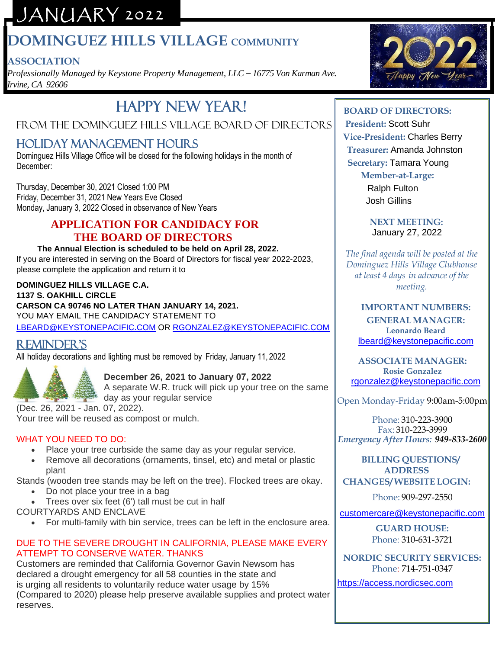# JANUARY 2022

# **DOMINGUEZ HILLS VILLAGE COMMUNITY**

## **ASSOCIATION**

*Professionally Managed by Keystone Property Management, LLC – 16775 Von Karman Ave. Irvine, CA 92606*

# Happy New Year!

## FROM THE DOMINGUEZ HILLS VILLAGE BOARD OF DIRECTORS

## Holiday management hours

Dominguez Hills Village Office will be closed for the following holidays in the month of December:

Thursday, December 30, 2021 Closed 1:00 PM Friday, December 31, 2021 New Years Eve Closed Monday, January 3, 2022 Closed in observance of New Years

### **APPLICATION FOR CANDIDACY FOR THE BOARD OF DIRECTORS**

#### **The Annual Election is scheduled to be held on April 28, 2022.**  If you are interested in serving on the Board of Directors for fiscal year 2022-2023,

please complete the application and return it to

#### **DOMINGUEZ HILLS VILLAGE C.A.**

**1137 S. OAKHILL CIRCLE CARSON CA 90746 NO LATER THAN JANUARY 14, 2021.** YOU MAY EMAIL THE CANDIDACY STATEMENT TO [LBEARD@KEYSTONEPACIFIC.COM](mailto:LBEARD@KEYSTONEPACIFIC.COM) OR [RGONZALEZ@KEYSTONEPACIFIC.COM](mailto:RGONZALEZ@KEYSTONEPACIFIC.COM)

## Reminder's

All holiday decorations and lighting must be removed by Friday, January 11, 2022



### **December 26, 2021 to January 07, 2022**

A separate W.R. truck will pick up your tree on the same day as your regular service

(Dec. 26, 2021 - Jan. 07, 2022). Your tree will be reused as compost or mulch.

#### WHAT YOU NEED TO DO:

- Place your tree curbside the same day as your regular service.
- Remove all decorations (ornaments, tinsel, etc) and metal or plastic plant

Stands (wooden tree stands may be left on the tree). Flocked trees are okay.

- Do not place your tree in a bag
- Trees over six feet (6') tall must be cut in half

COURTYARDS AND ENCLAVE

• For multi-family with bin service, trees can be left in the enclosure area.

### DUE TO THE SEVERE DROUGHT IN CALIFORNIA, PLEASE MAKE EVERY ATTEMPT TO CONSERVE WATER. THANKS

Customers are reminded that California Governor Gavin Newsom has declared a drought emergency for all 58 counties in the state and is urging all residents to voluntarily reduce water usage by 15% (Compared to 2020) please help preserve available supplies and protect water reserves.



## **BOARD OF DIRECTORS:**

 **President:** Scott Suhr **Vice-President:** Charles Berry **Treasurer:** Amanda Johnston **Secretary:** Tamara Young

### **Member-at-Large:**

Ralph Fulton Josh Gillins

 **NEXT MEETING:** January 27, 2022

*The final agenda will be posted at the Dominguez Hills Village Clubhouse at least 4 days in advance of the meeting.*

#### **IMPORTANT NUMBERS: GENERALMANAGER: Leonardo Beard** [lbeard@keystonepacific.com](mailto:lbeard@keystonepacific.com)

**ASSOCIATE MANAGER: Rosie Gonzalez** [rgonzalez@keystonepacific.com](mailto:rgonzalez@keystonepacific.com)

Open Monday-Friday 9:00am-5:00pm

Phone: 310-223-3900 Fax: 310-223-3999 *Emergency After Hours: 949-833-2600*

#### **BILLING QUESTIONS/ ADDRESS CHANGES/ WEBSITE LOGIN:**

Phone: 909-297-2550

[customercare@keystonepacific.com](mailto:customercare@keystonepacific.com)

**GUARD HOUSE:** Phone: 310-631-3721

**NORDIC SECURITY SERVICES:** Phone: 714-751-0347

[https://access.nordicsec.com](https://access.nordicsec.com/)